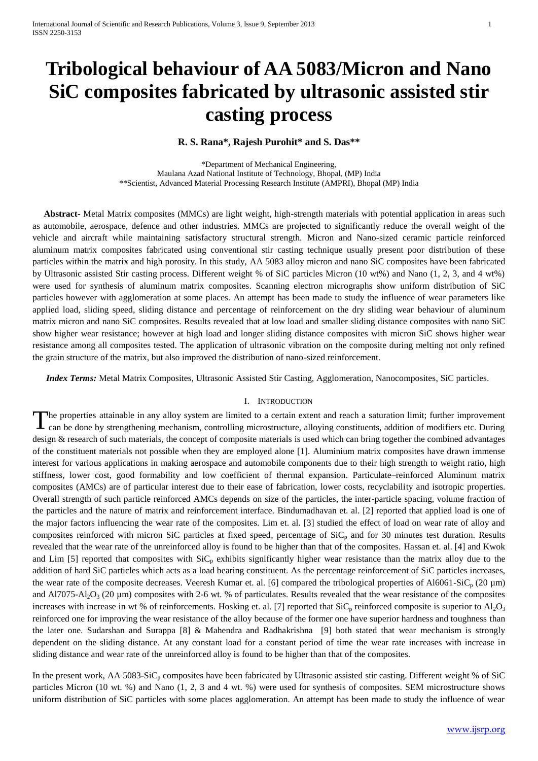# **Tribological behaviour of AA 5083/Micron and Nano SiC composites fabricated by ultrasonic assisted stir casting process**

#### **R. S. Rana\*, Rajesh Purohit\* and S. Das\*\***

\*Department of Mechanical Engineering, Maulana Azad National Institute of Technology, Bhopal, (MP) India \*\*Scientist, Advanced Material Processing Research Institute (AMPRI), Bhopal (MP) India

 **Abstract-** Metal Matrix composites (MMCs) are light weight, high-strength materials with potential application in areas such as automobile, aerospace, defence and other industries. MMCs are projected to significantly reduce the overall weight of the vehicle and aircraft while maintaining satisfactory structural strength. Micron and Nano-sized ceramic particle reinforced aluminum matrix composites fabricated using conventional stir casting technique usually present poor distribution of these particles within the matrix and high porosity. In this study, AA 5083 alloy micron and nano SiC composites have been fabricated by Ultrasonic assisted Stir casting process. Different weight % of SiC particles Micron (10 wt%) and Nano (1, 2, 3, and 4 wt%) were used for synthesis of aluminum matrix composites. Scanning electron micrographs show uniform distribution of SiC particles however with agglomeration at some places. An attempt has been made to study the influence of wear parameters like applied load, sliding speed, sliding distance and percentage of reinforcement on the dry sliding wear behaviour of aluminum matrix micron and nano SiC composites. Results revealed that at low load and smaller sliding distance composites with nano SiC show higher wear resistance; however at high load and longer sliding distance composites with micron SiC shows higher wear resistance among all composites tested. The application of ultrasonic vibration on the composite during melting not only refined the grain structure of the matrix, but also improved the distribution of nano-sized reinforcement.

 *Index Terms:* Metal Matrix Composites, Ultrasonic Assisted Stir Casting, Agglomeration, Nanocomposites, SiC particles.

#### I. INTRODUCTION

he properties attainable in any alloy system are limited to a certain extent and reach a saturation limit; further improvement can be done by strengthening mechanism, controlling microstructure, alloying constituents, addition of modifiers etc. During design & research of such materials, the concept of composite materials is used which can bring together the combined advantages of the constituent materials not possible when they are employed alone [1]. Aluminium matrix composites have drawn immense interest for various applications in making aerospace and automobile components due to their high strength to weight ratio, high stiffness, lower cost, good formability and low coefficient of thermal expansion. Particulate–reinforced Aluminum matrix composites (AMCs) are of particular interest due to their ease of fabrication, lower costs, recyclability and isotropic properties. Overall strength of such particle reinforced AMCs depends on size of the particles, the inter-particle spacing, volume fraction of the particles and the nature of matrix and reinforcement interface. Bindumadhavan et. al. [2] reported that applied load is one of the major factors influencing the wear rate of the composites. Lim et. al. [3] studied the effect of load on wear rate of alloy and composites reinforced with micron SiC particles at fixed speed, percentage of  $\text{SiC}_p$  and for 30 minutes test duration. Results revealed that the wear rate of the unreinforced alloy is found to be higher than that of the composites. Hassan et. al. [4] and Kwok and Lim [5] reported that composites with  $\text{SiC}_p$  exhibits significantly higher wear resistance than the matrix alloy due to the addition of hard SiC particles which acts as a load bearing constituent. As the percentage reinforcement of SiC particles increases, the wear rate of the composite decreases. Veeresh Kumar et. al. [6] compared the tribological properties of Al6061-SiC<sub>p</sub> (20  $\mu$ m) and Al7075-Al<sub>2</sub>O<sub>3</sub> (20  $\mu$ m) composites with 2-6 wt. % of particulates. Results revealed that the wear resistance of the composites increases with increase in wt % of reinforcements. Hosking et. al. [7] reported that  $SiC<sub>p</sub>$  reinforced composite is superior to  $Al<sub>2</sub>O<sub>3</sub>$ reinforced one for improving the wear resistance of the alloy because of the former one have superior hardness and toughness than the later one. Sudarshan and Surappa [8] & Mahendra and Radhakrishna [9] both stated that wear mechanism is strongly dependent on the sliding distance. At any constant load for a constant period of time the wear rate increases with increase in sliding distance and wear rate of the unreinforced alloy is found to be higher than that of the composites. T

In the present work, AA 5083-SiC<sub>p</sub> composites have been fabricated by Ultrasonic assisted stir casting. Different weight % of SiC particles Micron (10 wt. %) and Nano (1, 2, 3 and 4 wt. %) were used for synthesis of composites. SEM microstructure shows uniform distribution of SiC particles with some places agglomeration. An attempt has been made to study the influence of wear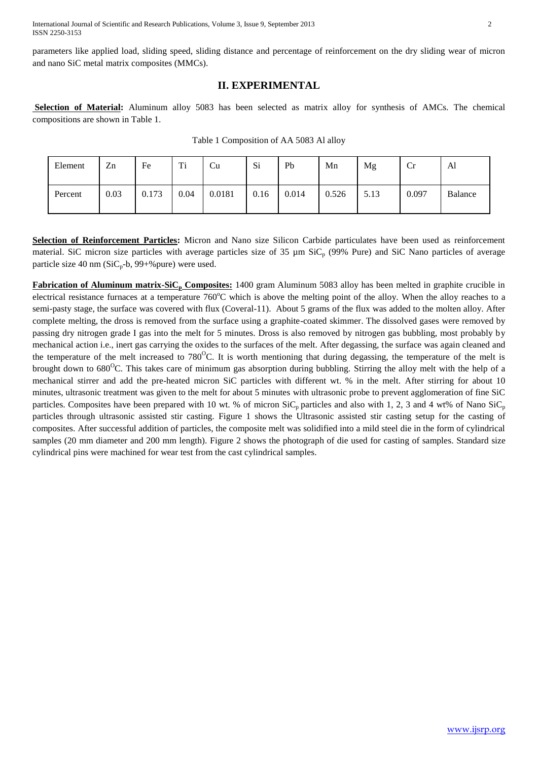parameters like applied load, sliding speed, sliding distance and percentage of reinforcement on the dry sliding wear of micron and nano SiC metal matrix composites (MMCs).

# **II. EXPERIMENTAL**

**Selection of Material:** Aluminum alloy 5083 has been selected as matrix alloy for synthesis of AMCs. The chemical compositions are shown in Table 1.

| Element | Zn   | Fe    | Ti   | Cu     | Si   | Pb    | Mn    | Mg   | Cr    | Al      |
|---------|------|-------|------|--------|------|-------|-------|------|-------|---------|
| Percent | 0.03 | 0.173 | 0.04 | 0.0181 | 0.16 | 0.014 | 0.526 | 5.13 | 0.097 | Balance |

Table 1 Composition of AA 5083 Al alloy

**Selection of Reinforcement Particles:** Micron and Nano size Silicon Carbide particulates have been used as reinforcement material. SiC micron size particles with average particles size of 35  $\mu$ m SiC<sub>p</sub> (99% Pure) and SiC Nano particles of average particle size 40 nm ( $SiC_p-b$ , 99+% pure) were used.

**Fabrication of Aluminum matrix-SiC<sup>p</sup> Composites:** 1400 gram Aluminum 5083 alloy has been melted in graphite crucible in electrical resistance furnaces at a temperature 760°C which is above the melting point of the alloy. When the alloy reaches to a semi-pasty stage, the surface was covered with flux (Coveral-11). About 5 grams of the flux was added to the molten alloy. After complete melting, the dross is removed from the surface using a graphite-coated skimmer. The dissolved gases were removed by passing dry nitrogen grade I gas into the melt for 5 minutes. Dross is also removed by nitrogen gas bubbling, most probably by mechanical action i.e., inert gas carrying the oxides to the surfaces of the melt. After degassing, the surface was again cleaned and the temperature of the melt increased to  $780^{\circ}$ C. It is worth mentioning that during degassing, the temperature of the melt is brought down to 680<sup>o</sup>C. This takes care of minimum gas absorption during bubbling. Stirring the alloy melt with the help of a mechanical stirrer and add the pre-heated micron SiC particles with different wt. % in the melt. After stirring for about 10 minutes, ultrasonic treatment was given to the melt for about 5 minutes with ultrasonic probe to prevent agglomeration of fine SiC particles. Composites have been prepared with 10 wt. % of micron  $\text{SiC}_p$  particles and also with 1, 2, 3 and 4 wt% of Nano  $\text{SiC}_p$ particles through ultrasonic assisted stir casting. Figure 1 shows the Ultrasonic assisted stir casting setup for the casting of composites. After successful addition of particles, the composite melt was solidified into a mild steel die in the form of cylindrical samples (20 mm diameter and 200 mm length). Figure 2 shows the photograph of die used for casting of samples. Standard size cylindrical pins were machined for wear test from the cast cylindrical samples.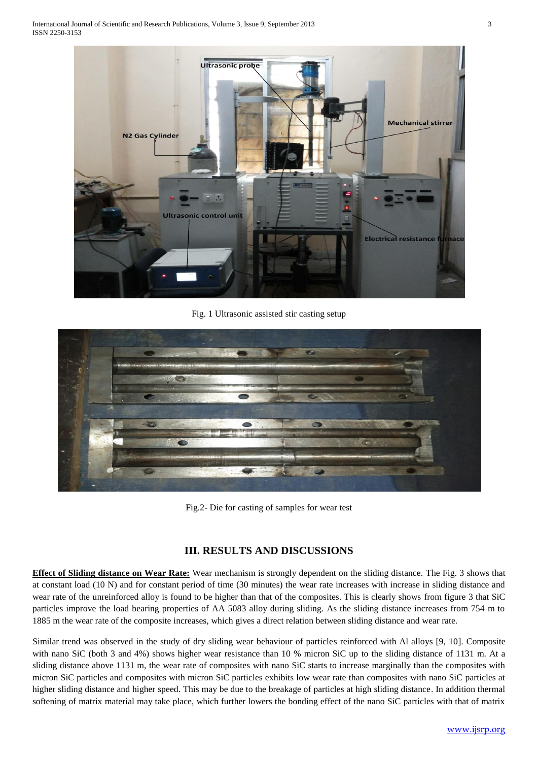

Fig. 1 Ultrasonic assisted stir casting setup



Fig.2- Die for casting of samples for wear test

# **III. RESULTS AND DISCUSSIONS**

**Effect of Sliding distance on Wear Rate:** Wear mechanism is strongly dependent on the sliding distance. The Fig. 3 shows that at constant load (10 N) and for constant period of time (30 minutes) the wear rate increases with increase in sliding distance and wear rate of the unreinforced alloy is found to be higher than that of the composites. This is clearly shows from figure 3 that SiC particles improve the load bearing properties of AA 5083 alloy during sliding. As the sliding distance increases from 754 m to 1885 m the wear rate of the composite increases, which gives a direct relation between sliding distance and wear rate.

Similar trend was observed in the study of dry sliding wear behaviour of particles reinforced with Al alloys [9, 10]. Composite with nano SiC (both 3 and 4%) shows higher wear resistance than 10 % micron SiC up to the sliding distance of 1131 m. At a sliding distance above 1131 m, the wear rate of composites with nano SiC starts to increase marginally than the composites with micron SiC particles and composites with micron SiC particles exhibits low wear rate than composites with nano SiC particles at higher sliding distance and higher speed. This may be due to the breakage of particles at high sliding distance. In addition thermal softening of matrix material may take place, which further lowers the bonding effect of the nano SiC particles with that of matrix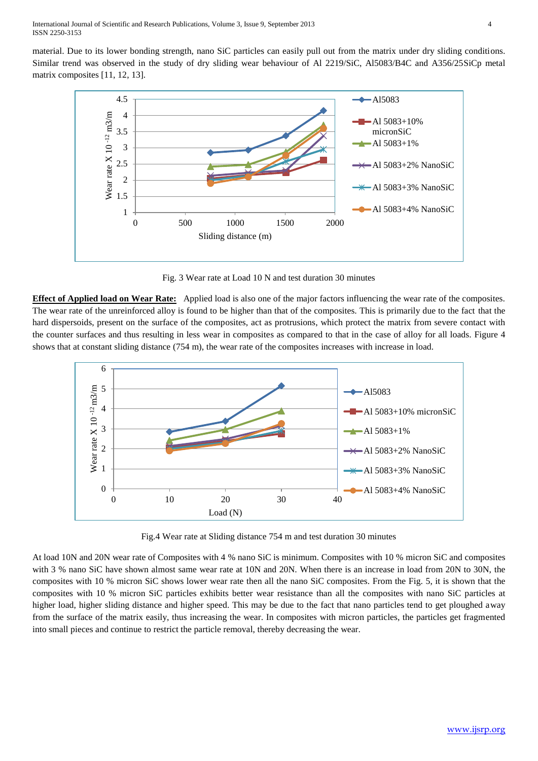material. Due to its lower bonding strength, nano SiC particles can easily pull out from the matrix under dry sliding conditions. Similar trend was observed in the study of dry sliding wear behaviour of Al 2219/SiC, Al5083/B4C and A356/25SiCp metal matrix composites [11, 12, 13].



Fig. 3 Wear rate at Load 10 N and test duration 30 minutes

**Effect of Applied load on Wear Rate:** Applied load is also one of the major factors influencing the wear rate of the composites. The wear rate of the unreinforced alloy is found to be higher than that of the composites. This is primarily due to the fact that the hard dispersoids, present on the surface of the composites, act as protrusions, which protect the matrix from severe contact with the counter surfaces and thus resulting in less wear in composites as compared to that in the case of alloy for all loads. Figure 4 shows that at constant sliding distance (754 m), the wear rate of the composites increases with increase in load.



Fig.4 Wear rate at Sliding distance 754 m and test duration 30 minutes

At load 10N and 20N wear rate of Composites with 4 % nano SiC is minimum. Composites with 10 % micron SiC and composites with 3 % nano SiC have shown almost same wear rate at 10N and 20N. When there is an increase in load from 20N to 30N, the composites with 10 % micron SiC shows lower wear rate then all the nano SiC composites. From the Fig. 5, it is shown that the composites with 10 % micron SiC particles exhibits better wear resistance than all the composites with nano SiC particles at higher load, higher sliding distance and higher speed. This may be due to the fact that nano particles tend to get ploughed away from the surface of the matrix easily, thus increasing the wear. In composites with micron particles, the particles get fragmented into small pieces and continue to restrict the particle removal, thereby decreasing the wear.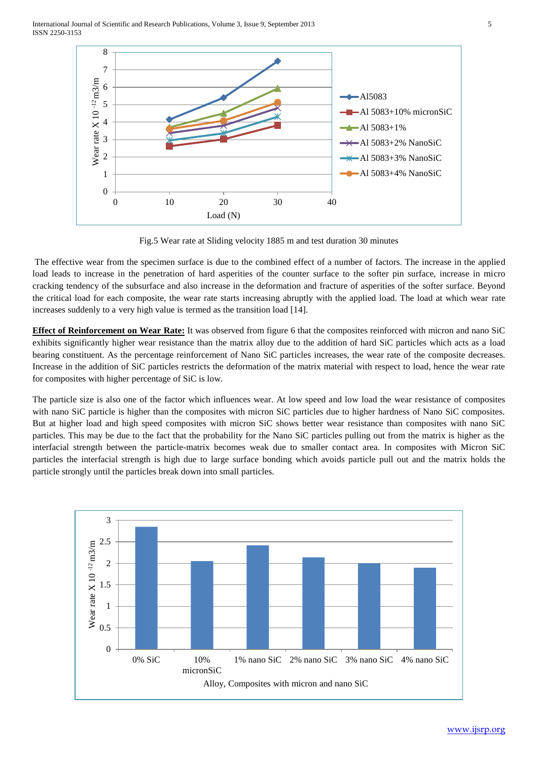International Journal of Scientific and Research Publications, Volume 3, Issue 9, September 2013 5 ISSN 2250-3153



Fig.5 Wear rate at Sliding velocity 1885 m and test duration 30 minutes

The effective wear from the specimen surface is due to the combined effect of a number of factors. The increase in the applied load leads to increase in the penetration of hard asperities of the counter surface to the softer pin surface, increase in micro cracking tendency of the subsurface and also increase in the deformation and fracture of asperities of the softer surface. Beyond the critical load for each composite, the wear rate starts increasing abruptly with the applied load. The load at which wear rate increases suddenly to a very high value is termed as the transition load [14].

**Effect of Reinforcement on Wear Rate:** It was observed from figure 6 that the composites reinforced with micron and nano SiC exhibits significantly higher wear resistance than the matrix alloy due to the addition of hard SiC particles which acts as a load bearing constituent. As the percentage reinforcement of Nano SiC particles increases, the wear rate of the composite decreases. Increase in the addition of SiC particles restricts the deformation of the matrix material with respect to load, hence the wear rate for composites with higher percentage of SiC is low.

The particle size is also one of the factor which influences wear. At low speed and low load the wear resistance of composites with nano SiC particle is higher than the composites with micron SiC particles due to higher hardness of Nano SiC composites. But at higher load and high speed composites with micron SiC shows better wear resistance than composites with nano SiC particles. This may be due to the fact that the probability for the Nano SiC particles pulling out from the matrix is higher as the interfacial strength between the particle-matrix becomes weak due to smaller contact area. In composites with Micron SiC particles the interfacial strength is high due to large surface bonding which avoids particle pull out and the matrix holds the particle strongly until the particles break down into small particles.

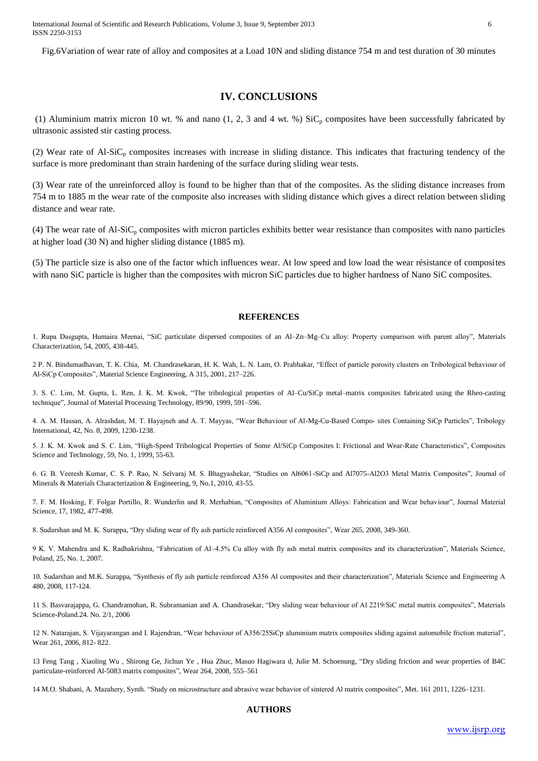Fig.6Variation of wear rate of alloy and composites at a Load 10N and sliding distance 754 m and test duration of 30 minutes

### **IV. CONCLUSIONS**

(1) Aluminium matrix micron 10 wt. % and nano (1, 2, 3 and 4 wt. %)  $\text{SiC}_p$  composites have been successfully fabricated by ultrasonic assisted stir casting process.

(2) Wear rate of Al-SiC<sub>p</sub> composites increases with increase in sliding distance. This indicates that fracturing tendency of the surface is more predominant than strain hardening of the surface during sliding wear tests.

(3) Wear rate of the unreinforced alloy is found to be higher than that of the composites. As the sliding distance increases from 754 m to 1885 m the wear rate of the composite also increases with sliding distance which gives a direct relation between sliding distance and wear rate.

(4) The wear rate of Al-SiC<sup>p</sup> composites with micron particles exhibits better wear resistance than composites with nano particles at higher load (30 N) and higher sliding distance (1885 m).

(5) The particle size is also one of the factor which influences wear. At low speed and low load the wear résistance of composites with nano SiC particle is higher than the composites with micron SiC particles due to higher hardness of Nano SiC composites.

#### **REFERENCES**

1. Rupa Dasgupta, Humaira Meenai, "SiC particulate dispersed composites of an Al–Zn–Mg–Cu alloy: Property comparison with parent alloy", Materials Characterization, 54, 2005, 438-445.

2 P. N. Bindumadhavan, T. K. Chia, M. Chandrasekaran, H. K. Wah, L. N. Lam, O. Prabhakar, "Effect of particle porosity clusters on Tribological behaviour of Al-SiCp Composites", Material Science Engineering, A 315, 2001, 217–226.

3. S. C. Lim, M. Gupta, L. Ren, J. K. M. Kwok, "The tribological properties of Al–Cu/SiCp metal–matrix composites fabricated using the Rheo-casting technique", Journal of Material Processing Technology, 89/90, 1999, 591–596.

4. A. M. Hassan, A. Alrashdan, M. T. Hayajneh and A. T. Mayyas, "Wear Behaviour of Al-Mg-Cu-Based Compo- sites Containing SiCp Particles", Tribology International, 42, No. 8, 2009, 1230-1238.

5. J. K. M. Kwok and S. C. Lim, "High-Speed Tribological Properties of Some Al/SiCp Composites I: Frictional and Wear-Rate Characteristics", Composites Science and Technology, 59, No. 1, 1999, 55-63.

6. G. B. Veeresh Kumar, C. S. P. Rao, N. Selvaraj M. S. Bhagyashekar, "Studies on Al6061-SiCp and Al7075-Al2O3 Metal Matrix Composites", Journal of Minerals & Materials Characterization & Engineering, 9, No.1, 2010, 43-55.

7. F. M. Hosking, F. Folgar Portillo, R. Wunderlin and R. Merhabian, "Composites of Aluminium Alloys: Fabrication and Wear behaviour", Journal Material Science, 17, 1982, 477-498.

8. Sudarshan and M. K. Surappa, "Dry sliding wear of fly ash particle reinforced A356 Al composites", Wear 265, 2008, 349-360.

9 K. V. Mahendra and K. Radhakrishna, "Fabrication of Al–4.5% Cu alloy with fly ash metal matrix composites and its characterization", Materials Science, Poland, 25, No. 1, 2007.

10. Sudarshan and M.K. Surappa, "Synthesis of fly ash particle reinforced A356 Al composites and their characterization", Materials Science and Engineering A 480, 2008, 117-124.

11 S. Basvarajappa, G. Chandramohan, R. Subramanian and A. Chandrasekar, "Dry sliding wear behaviour of Al 2219/SiC metal matrix composites", Materials Science-Poland.24. No. 2/1, 2006

12 N. Natarajan, S. Vijayarangan and I. Rajendran, "Wear behaviour of A356/25SiCp aluminium matrix composites sliding against automobile friction material", Wear 261, 2006, 812- 822.

13 Feng Tang , Xiaoling Wu , Shirong Ge, Jichun Ye , Hua Zhuc, Masuo Hagiwara d, Julie M. Schoenung, "Dry sliding friction and wear properties of B4C particulate-reinforced Al-5083 matrix composites", Wear 264, 2008, 555–561

14 M.O. Shabani, A. Mazahery, Synth. "Study on microstructure and abrasive wear behavior of sintered Al matrix composites", Met. 161 2011, 1226–1231.